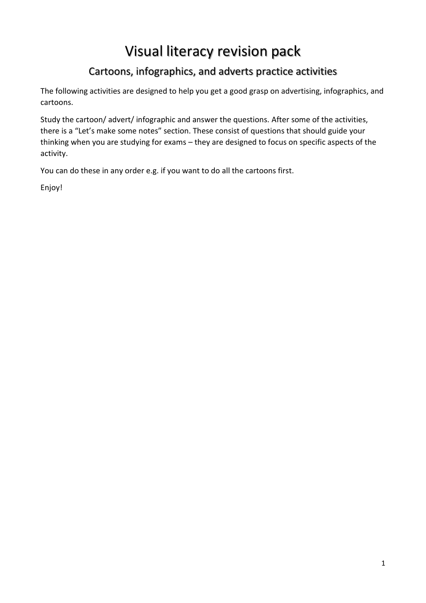# Visual literacy revision pack

# Cartoons, infographics, and adverts practice activities

The following activities are designed to help you get a good grasp on advertising, infographics, and cartoons.

Study the cartoon/ advert/ infographic and answer the questions. After some of the activities, there is a "Let's make some notes" section. These consist of questions that should guide your thinking when you are studying for exams – they are designed to focus on specific aspects of the activity.

You can do these in any order e.g. if you want to do all the cartoons first.

Enjoy!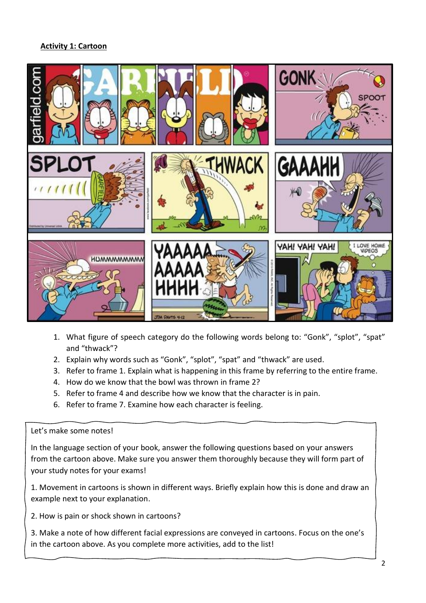## **Activity 1: Cartoon**



- 1. What figure of speech category do the following words belong to: "Gonk", "splot", "spat" and "thwack"?
- 2. Explain why words such as "Gonk", "splot", "spat" and "thwack" are used.
- 3. Refer to frame 1. Explain what is happening in this frame by referring to the entire frame.
- 4. How do we know that the bowl was thrown in frame 2?
- 5. Refer to frame 4 and describe how we know that the character is in pain.
- 6. Refer to frame 7. Examine how each character is feeling.

#### Let's make some notes!

In the language section of your book, answer the following questions based on your answers from the cartoon above. Make sure you answer them thoroughly because they will form part of your study notes for your exams!

1. Movement in cartoons is shown in different ways. Briefly explain how this is done and draw an example next to your explanation.

2. How is pain or shock shown in cartoons?

3. Make a note of how different facial expressions are conveyed in cartoons. Focus on the one's in the cartoon above. As you complete more activities, add to the list!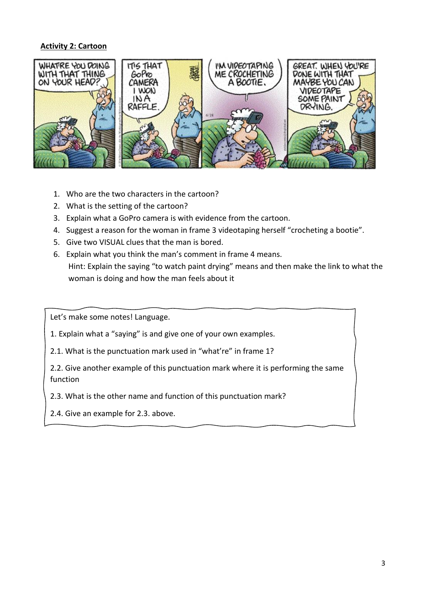#### **Activity 2: Cartoon**



- 1. Who are the two characters in the cartoon?
- 2. What is the setting of the cartoon?
- 3. Explain what a GoPro camera is with evidence from the cartoon.
- 4. Suggest a reason for the woman in frame 3 videotaping herself "crocheting a bootie".
- 5. Give two VISUAL clues that the man is bored.
- 6. Explain what you think the man's comment in frame 4 means. Hint: Explain the saying "to watch paint drying" means and then make the link to what the woman is doing and how the man feels about it

Let's make some notes! Language.

- 1. Explain what a "saying" is and give one of your own examples.
- 2.1. What is the punctuation mark used in "what're" in frame 1?

2.2. Give another example of this punctuation mark where it is performing the same function

2.3. What is the other name and function of this punctuation mark?

2.4. Give an example for 2.3. above.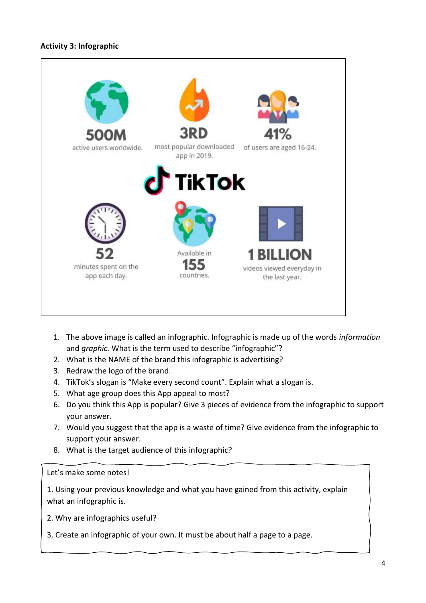## **Activity 3: Infographic**



- 1. The above image is called an infographic. Infographic is made up of the words *information*  and *graphic.* What is the term used to describe "infographic"?
- 2. What is the NAME of the brand this infographic is advertising?
- 3. Redraw the logo of the brand.
- 4. TikTok's slogan is "Make every second count". Explain what a slogan is.
- 5. What age group does this App appeal to most?
- 6. Do you think this App is popular? Give 3 pieces of evidence from the infographic to support your answer.
- 7. Would you suggest that the app is a waste of time? Give evidence from the infographic to support your answer.
- 8. What is the target audience of this infographic?

Let's make some notes!

1. Using your previous knowledge and what you have gained from this activity, explain what an infographic is.

2. Why are infographics useful?

3. Create an infographic of your own. It must be about half a page to a page.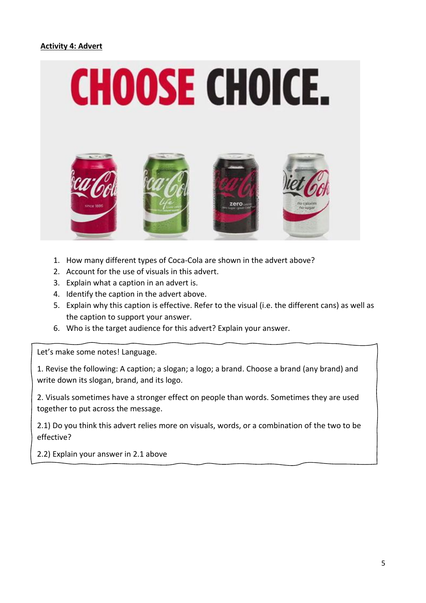### **Activity 4: Advert**



- 1. How many different types of Coca-Cola are shown in the advert above?
- 2. Account for the use of visuals in this advert.
- 3. Explain what a caption in an advert is.
- 4. Identify the caption in the advert above.
- 5. Explain why this caption is effective. Refer to the visual (i.e. the different cans) as well as the caption to support your answer.
- 6. Who is the target audience for this advert? Explain your answer.

Let's make some notes! Language.

1. Revise the following: A caption; a slogan; a logo; a brand. Choose a brand (any brand) and write down its slogan, brand, and its logo.

2. Visuals sometimes have a stronger effect on people than words. Sometimes they are used together to put across the message.

2.1) Do you think this advert relies more on visuals, words, or a combination of the two to be effective?

2.2) Explain your answer in 2.1 above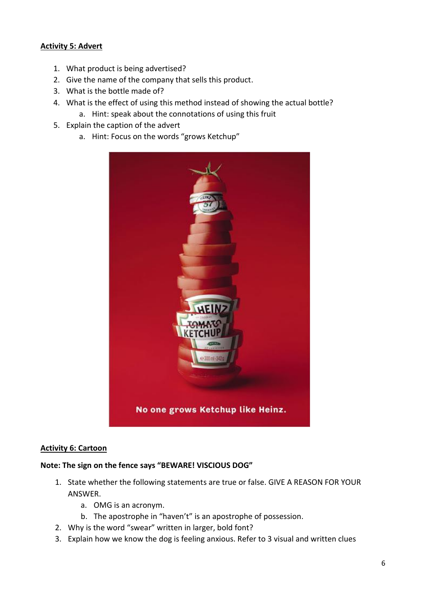### **Activity 5: Advert**

- 1. What product is being advertised?
- 2. Give the name of the company that sells this product.
- 3. What is the bottle made of?
- 4. What is the effect of using this method instead of showing the actual bottle?
	- a. Hint: speak about the connotations of using this fruit
- 5. Explain the caption of the advert
	- a. Hint: Focus on the words "grows Ketchup"



#### **Activity 6: Cartoon**

#### **Note: The sign on the fence says "BEWARE! VISCIOUS DOG"**

- 1. State whether the following statements are true or false. GIVE A REASON FOR YOUR ANSWER.
	- a. OMG is an acronym.
	- b. The apostrophe in "haven't" is an apostrophe of possession.
- 2. Why is the word "swear" written in larger, bold font?
- 3. Explain how we know the dog is feeling anxious. Refer to 3 visual and written clues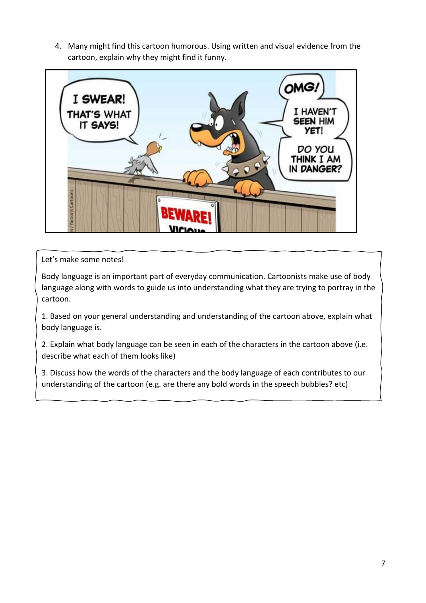4. Many might find this cartoon humorous. Using written and visual evidence from the cartoon, explain why they might find it funny.



# Let's make some notes!

Body language is an important part of everyday communication. Cartoonists make use of body language along with words to guide us into understanding what they are trying to portray in the cartoon.

1. Based on your general understanding and understanding of the cartoon above, explain what body language is.

2. Explain what body language can be seen in each of the characters in the cartoon above (i.e. describe what each of them looks like)

3. Discuss how the words of the characters and the body language of each contributes to our understanding of the cartoon (e.g. are there any bold words in the speech bubbles? etc)